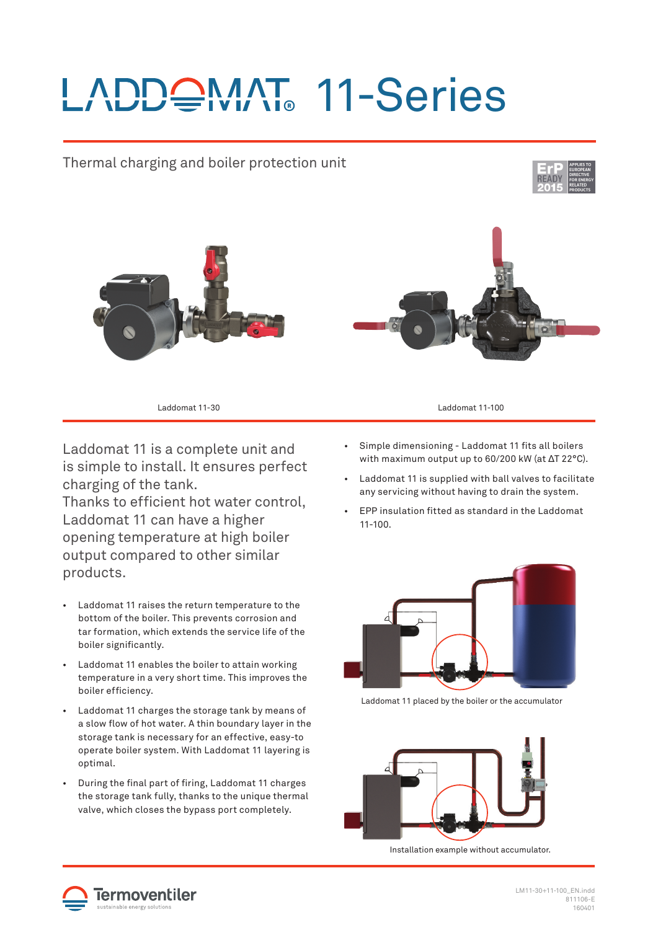## LADDQMAT 11-Series



Laddomat 11 is a complete unit and is simple to install. It ensures perfect charging of the tank.

Thanks to efficient hot water control. Laddomat 11 can have a higher opening temperature at high boiler output compared to other similar products.

- Laddomat 11 raises the return temperature to the bottom of the boiler. This prevents corrosion and tar formation, which extends the service life of the boiler significantly.
- Laddomat 11 enables the boiler to attain working temperature in a very short time. This improves the boiler efficiency.
- Laddomat 11 charges the storage tank by means of a slow flow of hot water. A thin boundary layer in the storage tank is necessary for an effective, easy-to operate boiler system. With Laddomat 11 layering is optimal.
- During the final part of firing, Laddomat 11 charges the storage tank fully, thanks to the unique thermal valve, which closes the bypass port completely.
- Simple dimensioning Laddomat 11 fits all boilers with maximum output up to 60/200 kW (at ΔT 22°C).
- Laddomat 11 is supplied with ball valves to facilitate any servicing without having to drain the system.
- EPP insulation fi tted as standard in the Laddomat 11-100.



Laddomat 11 placed by the boiler or the accumulator



Installation example without accumulator.